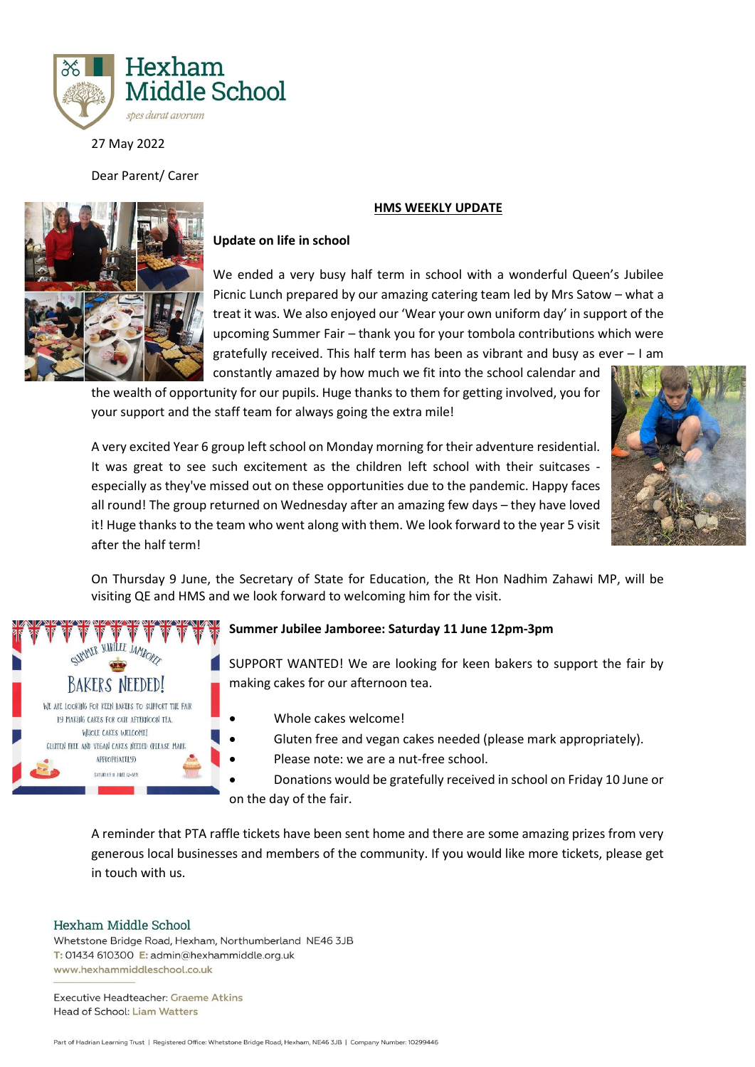

27 May 2022

Dear Parent/ Carer



## **HMS WEEKLY UPDATE**

## **Update on life in school**

We ended a very busy half term in school with a wonderful Queen's Jubilee Picnic Lunch prepared by our amazing catering team led by Mrs Satow – what a treat it was. We also enjoyed our 'Wear your own uniform day' in support of the upcoming Summer Fair – thank you for your tombola contributions which were gratefully received. This half term has been as vibrant and busy as ever – I am constantly amazed by how much we fit into the school calendar and

the wealth of opportunity for our pupils. Huge thanks to them for getting involved, you for your support and the staff team for always going the extra mile!



A very excited Year 6 group left school on Monday morning for their adventure residential. It was great to see such excitement as the children left school with their suitcases especially as they've missed out on these opportunities due to the pandemic. Happy faces all round! The group returned on Wednesday after an amazing few days – they have loved it! Huge thanks to the team who went along with them. We look forward to the year 5 visit after the half term!

On Thursday 9 June, the Secretary of State for Education, the Rt Hon Nadhim Zahawi MP, will be visiting QE and HMS and we look forward to welcoming him for the visit.



# **Summer Jubilee Jamboree: Saturday 11 June 12pm-3pm**

SUPPORT WANTED! We are looking for keen bakers to support the fair by making cakes for our afternoon tea.

- Whole cakes welcome!
- Gluten free and vegan cakes needed (please mark appropriately).
- Please note: we are a nut-free school.
- Donations would be gratefully received in school on Friday 10 June or on the day of the fair.

A reminder that PTA raffle tickets have been sent home and there are some amazing prizes from very generous local businesses and members of the community. If you would like more tickets, please get in touch with us.

#### Hexham Middle School

Whetstone Bridge Road, Hexham, Northumberland NE46 3JB T: 01434 610300 E: admin@hexhammiddle.org.uk www.hexhammiddleschool.co.uk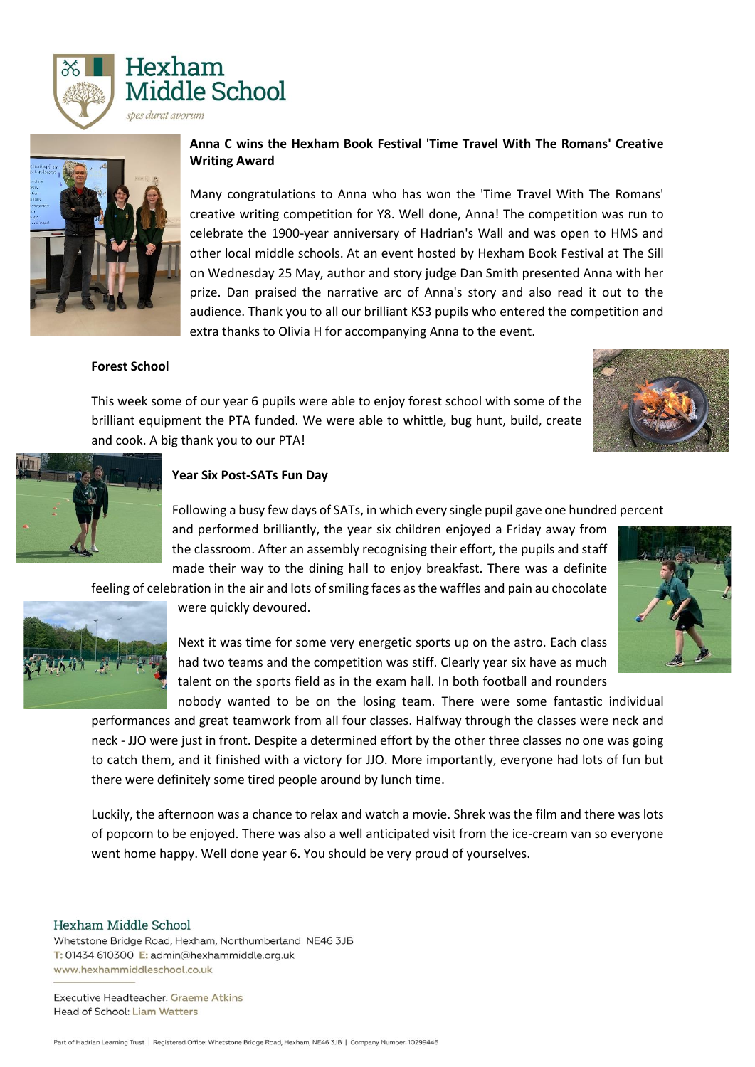



# **Anna C wins the Hexham Book Festival 'Time Travel With The Romans' Creative Writing Award**

Many congratulations to Anna who has won the 'Time Travel With The Romans' creative writing competition for Y8. Well done, Anna! The competition was run to celebrate the 1900-year anniversary of Hadrian's Wall and was open to HMS and other local middle schools. At an event hosted by Hexham Book Festival at The Sill on Wednesday 25 May, author and story judge Dan Smith presented Anna with her prize. Dan praised the narrative arc of Anna's story and also read it out to the audience. Thank you to all our brilliant KS3 pupils who entered the competition and extra thanks to Olivia H for accompanying Anna to the event.

### **Forest School**

This week some of our year 6 pupils were able to enjoy forest school with some of the brilliant equipment the PTA funded. We were able to whittle, bug hunt, build, create and cook. A big thank you to our PTA!





#### **Year Six Post-SATs Fun Day**

Following a busy few days of SATs, in which every single pupil gave one hundred percent

and performed brilliantly, the year six children enjoyed a Friday away from the classroom. After an assembly recognising their effort, the pupils and staff made their way to the dining hall to enjoy breakfast. There was a definite

feeling of celebration in the air and lots of smiling faces as the waffles and pain au chocolate



were quickly devoured.

Next it was time for some very energetic sports up on the astro. Each class had two teams and the competition was stiff. Clearly year six have as much talent on the sports field as in the exam hall. In both football and rounders nobody wanted to be on the losing team. There were some fantastic individual

performances and great teamwork from all four classes. Halfway through the classes were neck and neck - JJO were just in front. Despite a determined effort by the other three classes no one was going to catch them, and it finished with a victory for JJO. More importantly, everyone had lots of fun but there were definitely some tired people around by lunch time.

Luckily, the afternoon was a chance to relax and watch a movie. Shrek was the film and there was lots of popcorn to be enjoyed. There was also a well anticipated visit from the ice-cream van so everyone went home happy. Well done year 6. You should be very proud of yourselves.

#### Hexham Middle School

Whetstone Bridge Road, Hexham, Northumberland NE46 3JB T: 01434 610300 E: admin@hexhammiddle.org.uk www.hexhammiddleschool.co.uk

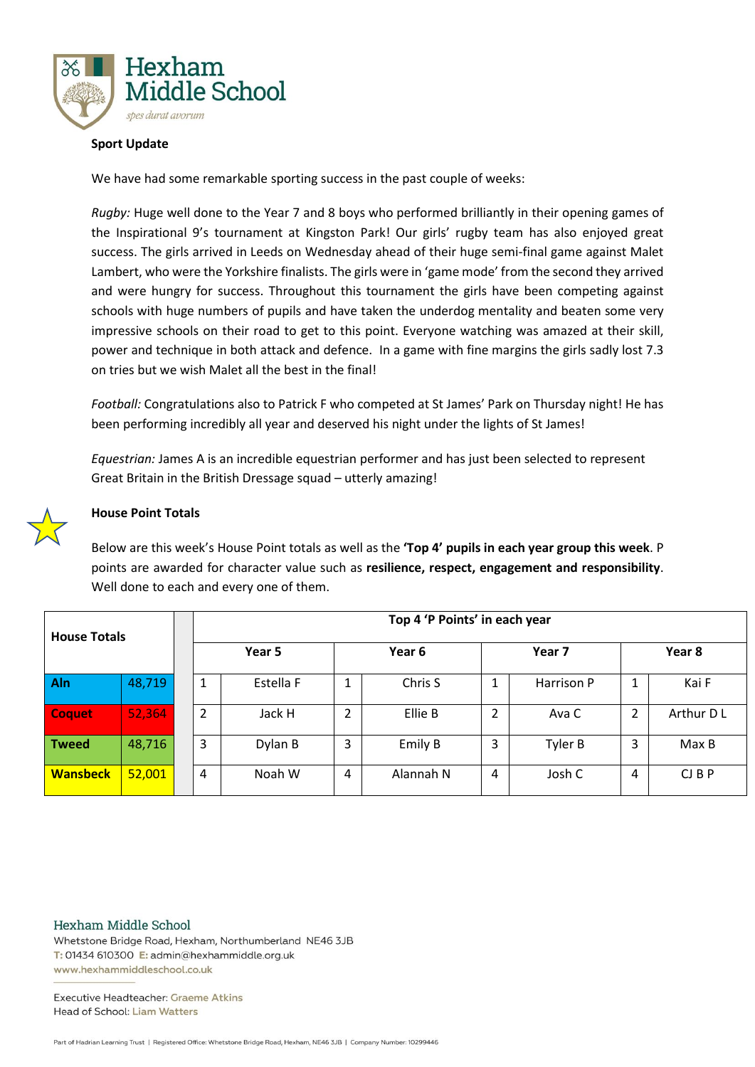

## **Sport Update**

We have had some remarkable sporting success in the past couple of weeks:

*Rugby:* Huge well done to the Year 7 and 8 boys who performed brilliantly in their opening games of the Inspirational 9's tournament at Kingston Park! Our girls' rugby team has also enjoyed great success. The girls arrived in Leeds on Wednesday ahead of their huge semi-final game against Malet Lambert, who were the Yorkshire finalists. The girls were in 'game mode' from the second they arrived and were hungry for success. Throughout this tournament the girls have been competing against schools with huge numbers of pupils and have taken the underdog mentality and beaten some very impressive schools on their road to get to this point. Everyone watching was amazed at their skill, power and technique in both attack and defence. In a game with fine margins the girls sadly lost 7.3 on tries but we wish Malet all the best in the final!

*Football:* Congratulations also to Patrick F who competed at St James' Park on Thursday night! He has been performing incredibly all year and deserved his night under the lights of St James!

*Equestrian:* James A is an incredible equestrian performer and has just been selected to represent Great Britain in the British Dressage squad – utterly amazing!



## **House Point Totals**

Below are this week's House Point totals as well as the **'Top 4' pupils in each year group this week**. P points are awarded for character value such as **resilience, respect, engagement and responsibility**. Well done to each and every one of them.

| <b>House Totals</b> |        | Top 4 'P Points' in each year |           |        |           |                |            |        |              |
|---------------------|--------|-------------------------------|-----------|--------|-----------|----------------|------------|--------|--------------|
|                     |        | Year 5                        |           | Year 6 |           | Year 7         |            | Year 8 |              |
| Aln                 | 48,719 | ட                             | Estella F | 1      | Chris S   | 1<br>J.        | Harrison P |        | Kai F        |
| <b>Coquet</b>       | 52,364 | 2                             | Jack H    | 2      | Ellie B   | $\overline{2}$ | Ava C      | 2      | Arthur D L   |
| <b>Tweed</b>        | 48,716 | 3                             | Dylan B   | 3      | Emily B   | 3              | Tyler B    | 3      | Max B        |
| <b>Wansbeck</b>     | 52,001 | 4                             | Noah W    | 4      | Alannah N | 4              | Josh C     | 4      | $CJ$ $B$ $P$ |

Hexham Middle School

Whetstone Bridge Road, Hexham, Northumberland NE46 3JB T: 01434 610300 E: admin@hexhammiddle.org.uk www.hexhammiddleschool.co.uk